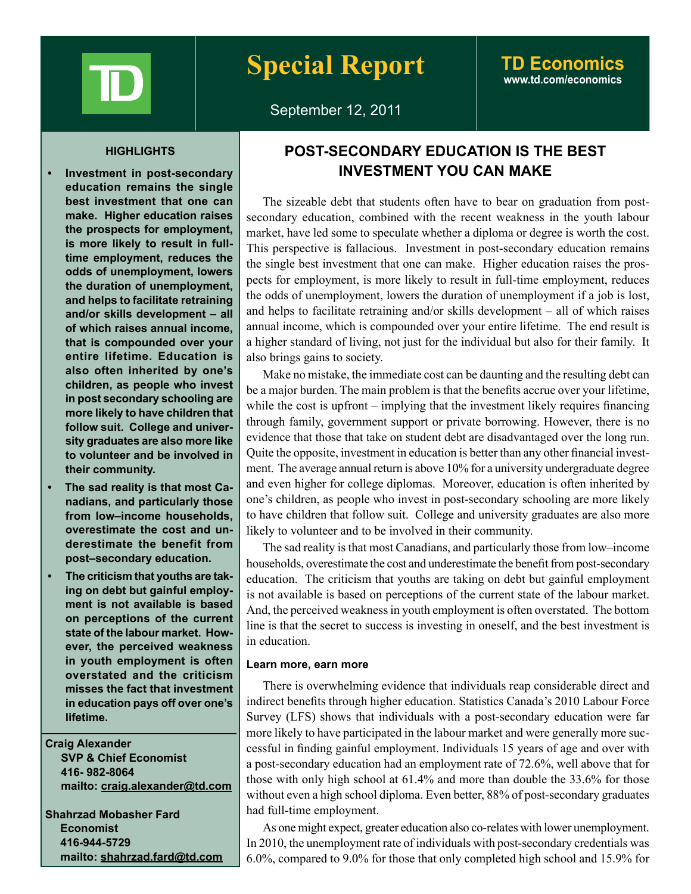

# **www.td.com/economics**

September 12, 2011

#### **HIGHLIGHTS**

- **education remains the single best investment that one can make. Higher education raises the prospects for employment, is more likely to result in fulltime employment, reduces the odds of unemployment, lowers the duration of unemployment, and helps to facilitate retraining and/or skills development – all of which raises annual income, that is compounded over your entire lifetime. Education is also often inherited by one's children, as people who invest in post secondary schooling are more likely to have children that follow suit. College and university graduates are also more like to volunteer and be involved in their community.**
- **The sad reality is that most Canadians, and particularly those from low–income households, overestimate the cost and underestimate the benefit from post–secondary education.**
- **The criticism that youths are taking on debt but gainful employment is not available is based on perceptions of the current state of the labour market. However, the perceived weakness in youth employment is often overstated and the criticism misses the fact that investment in education pays off over one's lifetime.**

**Craig Alexander SVP & Chief Economist 416- 982-8064 mailto: craig.alexander@td.com**

**Shahrzad Mobasher Fard Economist 416-944-5729 mailto: shahrzad.fard@td.com**

## **POST-SECONDARY EDUCATION IS THE BEST Investment** in post-secondary | **INVESTMENT YOU CAN MAKE**

The sizeable debt that students often have to bear on graduation from postsecondary education, combined with the recent weakness in the youth labour market, have led some to speculate whether a diploma or degree is worth the cost. This perspective is fallacious. Investment in post-secondary education remains the single best investment that one can make. Higher education raises the prospects for employment, is more likely to result in full-time employment, reduces the odds of unemployment, lowers the duration of unemployment if a job is lost, and helps to facilitate retraining and/or skills development – all of which raises annual income, which is compounded over your entire lifetime. The end result is a higher standard of living, not just for the individual but also for their family. It also brings gains to society.

Make no mistake, the immediate cost can be daunting and the resulting debt can be a major burden. The main problem is that the benefits accrue over your lifetime, while the cost is upfront – implying that the investment likely requires financing through family, government support or private borrowing. However, there is no evidence that those that take on student debt are disadvantaged over the long run. Quite the opposite, investment in education is better than any other financial investment. The average annual return is above 10% for a university undergraduate degree and even higher for college diplomas. Moreover, education is often inherited by one's children, as people who invest in post-secondary schooling are more likely to have children that follow suit. College and university graduates are also more likely to volunteer and to be involved in their community.

The sad reality is that most Canadians, and particularly those from low–income households, overestimate the cost and underestimate the benefit from post-secondary education. The criticism that youths are taking on debt but gainful employment is not available is based on perceptions of the current state of the labour market. And, the perceived weakness in youth employment is often overstated. The bottom line is that the secret to success is investing in oneself, and the best investment is in education.

## **Learn more, earn more**

There is overwhelming evidence that individuals reap considerable direct and indirect benefits through higher education. Statistics Canada's 2010 Labour Force Survey (LFS) shows that individuals with a post-secondary education were far more likely to have participated in the labour market and were generally more successful in finding gainful employment. Individuals 15 years of age and over with a post-secondary education had an employment rate of 72.6%, well above that for those with only high school at 61.4% and more than double the 33.6% for those without even a high school diploma. Even better, 88% of post-secondary graduates had full-time employment.

As one might expect, greater education also co-relates with lower unemployment. In 2010, the unemployment rate of individuals with post-secondary credentials was 6.0%, compared to 9.0% for those that only completed high school and 15.9% for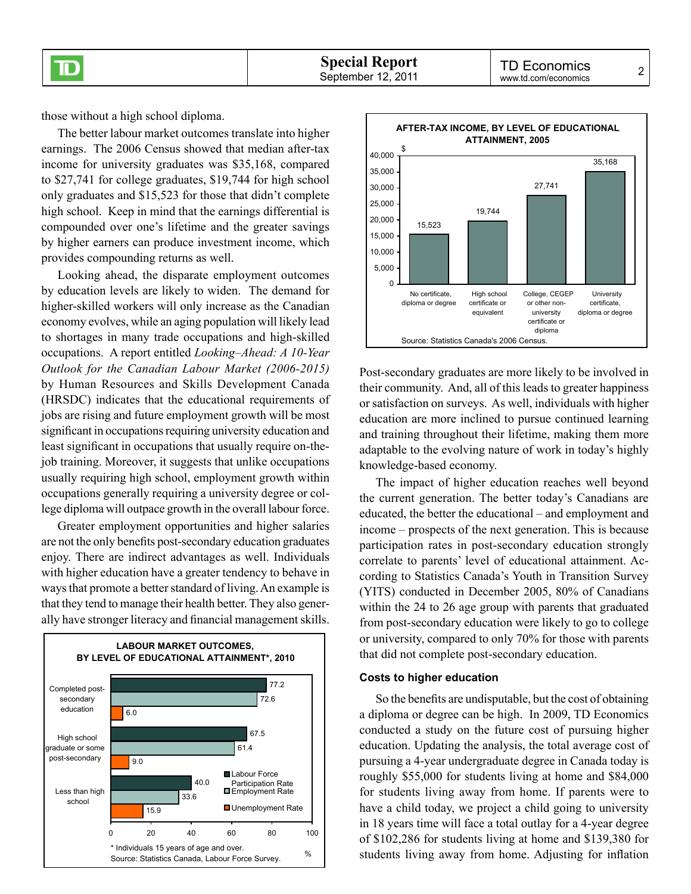those without a high school diploma.

The better labour market outcomes translate into higher earnings. The 2006 Census showed that median after-tax income for university graduates was \$35,168, compared to \$27,741 for college graduates, \$19,744 for high school only graduates and \$15,523 for those that didn't complete high school. Keep in mind that the earnings differential is compounded over one's lifetime and the greater savings by higher earners can produce investment income, which provides compounding returns as well.

Looking ahead, the disparate employment outcomes by education levels are likely to widen. The demand for higher-skilled workers will only increase as the Canadian economy evolves, while an aging population will likely lead to shortages in many trade occupations and high-skilled occupations. A report entitled *Looking–Ahead: A 10-Year Outlook for the Canadian Labour Market (2006-2015)* by Human Resources and Skills Development Canada (HRSDC) indicates that the educational requirements of jobs are rising and future employment growth will be most significant in occupations requiring university education and least significant in occupations that usually require on-thejob training. Moreover, it suggests that unlike occupations usually requiring high school, employment growth within occupations generally requiring a university degree or college diploma will outpace growth in the overall labour force.

Greater employment opportunities and higher salaries are not the only benefits post-secondary education graduates enjoy. There are indirect advantages as well. Individuals with higher education have a greater tendency to behave in ways that promote a better standard of living. An example is that they tend to manage their health better. They also generally have stronger literacy and financial management skills.





Post-secondary graduates are more likely to be involved in their community. And, all of this leads to greater happiness or satisfaction on surveys. As well, individuals with higher education are more inclined to pursue continued learning and training throughout their lifetime, making them more adaptable to the evolving nature of work in today's highly knowledge-based economy.

The impact of higher education reaches well beyond the current generation. The better today's Canadians are educated, the better the educational – and employment and income – prospects of the next generation. This is because participation rates in post-secondary education strongly correlate to parents' level of educational attainment. According to Statistics Canada's Youth in Transition Survey (YITS) conducted in December 2005, 80% of Canadians within the 24 to 26 age group with parents that graduated from post-secondary education were likely to go to college or university, compared to only 70% for those with parents that did not complete post-secondary education.

## **Costs to higher education**

So the benefits are undisputable, but the cost of obtaining a diploma or degree can be high. In 2009, TD Economics conducted a study on the future cost of pursuing higher education. Updating the analysis, the total average cost of pursuing a 4-year undergraduate degree in Canada today is roughly \$55,000 for students living at home and \$84,000 for students living away from home. If parents were to have a child today, we project a child going to university in 18 years time will face a total outlay for a 4-year degree of \$102,286 for students living at home and \$139,380 for students living away from home. Adjusting for inflation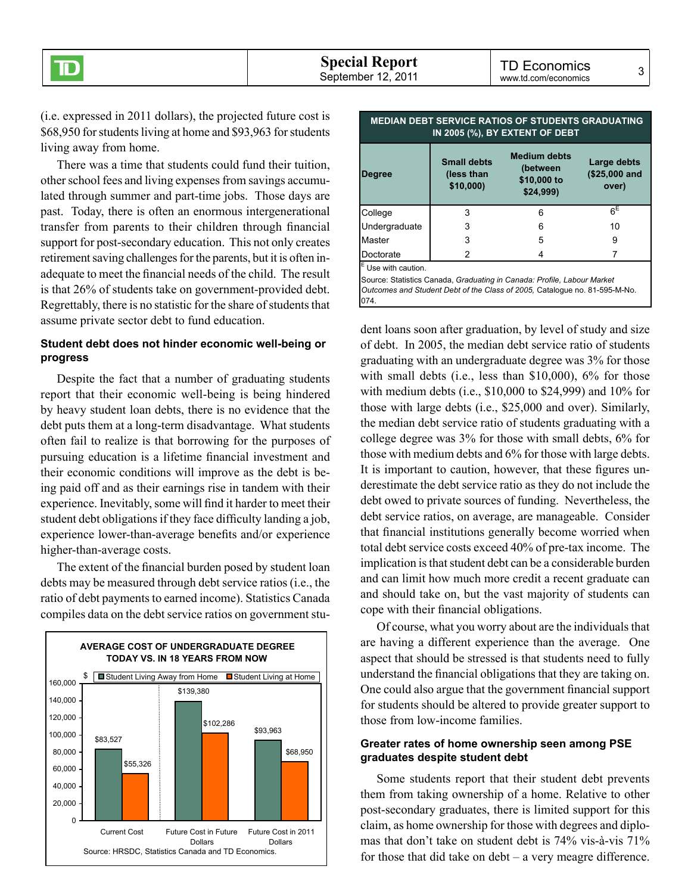(i.e. expressed in 2011 dollars), the projected future cost is \$68,950 for students living at home and \$93,963 for students living away from home.

There was a time that students could fund their tuition, other school fees and living expenses from savings accumulated through summer and part-time jobs. Those days are past. Today, there is often an enormous intergenerational transfer from parents to their children through financial support for post-secondary education. This not only creates retirement saving challenges for the parents, but it is often inadequate to meet the financial needs of the child. The result is that 26% of students take on government-provided debt. Regrettably, there is no statistic for the share of students that assume private sector debt to fund education.

## **Student debt does not hinder economic well-being or progress**

Despite the fact that a number of graduating students report that their economic well-being is being hindered by heavy student loan debts, there is no evidence that the debt puts them at a long-term disadvantage. What students often fail to realize is that borrowing for the purposes of pursuing education is a lifetime financial investment and their economic conditions will improve as the debt is being paid off and as their earnings rise in tandem with their experience. Inevitably, some will find it harder to meet their student debt obligations if they face difficulty landing a job, experience lower-than-average benefits and/or experience higher-than-average costs.

The extent of the financial burden posed by student loan debts may be measured through debt service ratios (i.e., the ratio of debt payments to earned income). Statistics Canada compiles data on the debt service ratios on government stu-



| IN 2005 (%), BY EXTENT OF DEBT |                                              |                                                            |                                       |  |  |  |
|--------------------------------|----------------------------------------------|------------------------------------------------------------|---------------------------------------|--|--|--|
| <b>Degree</b>                  | <b>Small debts</b><br>(less than<br>\$10,000 | <b>Medium debts</b><br>(between<br>\$10,000 to<br>\$24,999 | Large debts<br>(\$25,000 and<br>over) |  |  |  |
| College                        | 3                                            | 6                                                          | $6^{\sf E}$                           |  |  |  |
| Undergraduate                  | 3                                            | 6                                                          | 10                                    |  |  |  |
| Master                         | 3                                            | 5                                                          | 9                                     |  |  |  |
| Doctorate                      | 2                                            |                                                            |                                       |  |  |  |
| $E$ I lea with caution         |                                              |                                                            |                                       |  |  |  |

**MEDIAN DEBT SERVICE RATIOS OF STUDENTS GRADUATING** 

Use with caution.

Source: Statistics Canada, *Graduating in Canada: Profile, Labour Market Outcomes and Student Debt of the Class of 2005,* Catalogue no. 81-595-M-No. 074.

dent loans soon after graduation, by level of study and size of debt. In 2005, the median debt service ratio of students graduating with an undergraduate degree was 3% for those with small debts (i.e., less than \$10,000), 6% for those with medium debts (i.e., \$10,000 to \$24,999) and 10% for those with large debts (i.e., \$25,000 and over). Similarly, the median debt service ratio of students graduating with a college degree was 3% for those with small debts, 6% for those with medium debts and 6% for those with large debts. It is important to caution, however, that these figures underestimate the debt service ratio as they do not include the debt owed to private sources of funding. Nevertheless, the debt service ratios, on average, are manageable. Consider that financial institutions generally become worried when total debt service costs exceed 40% of pre-tax income. The implication is that student debt can be a considerable burden and can limit how much more credit a recent graduate can and should take on, but the vast majority of students can cope with their financial obligations.

Of course, what you worry about are the individuals that are having a different experience than the average. One aspect that should be stressed is that students need to fully understand the financial obligations that they are taking on. One could also argue that the government financial support for students should be altered to provide greater support to those from low-income families.

## **Greater rates of home ownership seen among PSE graduates despite student debt**

Some students report that their student debt prevents them from taking ownership of a home. Relative to other post-secondary graduates, there is limited support for this claim, as home ownership for those with degrees and diplomas that don't take on student debt is 74% vis-à-vis 71% for those that did take on debt – a very meagre difference.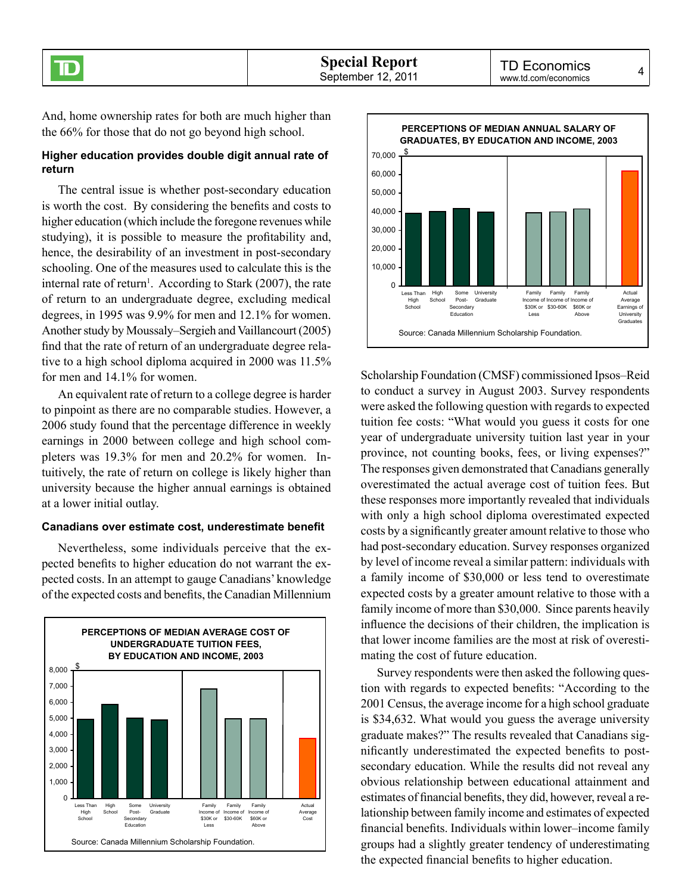And, home ownership rates for both are much higher than the 66% for those that do not go beyond high school.

## **Higher education provides double digit annual rate of return**

The central issue is whether post-secondary education is worth the cost. By considering the benefits and costs to higher education (which include the foregone revenues while studying), it is possible to measure the profitability and, hence, the desirability of an investment in post-secondary schooling. One of the measures used to calculate this is the internal rate of return<sup>1</sup>. According to Stark (2007), the rate of return to an undergraduate degree, excluding medical degrees, in 1995 was 9.9% for men and 12.1% for women. Another study by Moussaly–Sergieh and Vaillancourt (2005) find that the rate of return of an undergraduate degree relative to a high school diploma acquired in 2000 was 11.5% for men and 14.1% for women.

An equivalent rate of return to a college degree is harder to pinpoint as there are no comparable studies. However, a 2006 study found that the percentage difference in weekly earnings in 2000 between college and high school completers was 19.3% for men and 20.2% for women. Intuitively, the rate of return on college is likely higher than university because the higher annual earnings is obtained at a lower initial outlay.

## **Canadians over estimate cost, underestimate benefit**

Nevertheless, some individuals perceive that the expected benefits to higher education do not warrant the expected costs. In an attempt to gauge Canadians' knowledge of the expected costs and benefits, the Canadian Millennium





Scholarship Foundation (CMSF) commissioned Ipsos–Reid to conduct a survey in August 2003. Survey respondents were asked the following question with regards to expected tuition fee costs: "What would you guess it costs for one year of undergraduate university tuition last year in your province, not counting books, fees, or living expenses?" The responses given demonstrated that Canadians generally overestimated the actual average cost of tuition fees. But these responses more importantly revealed that individuals with only a high school diploma overestimated expected costs by a significantly greater amount relative to those who had post-secondary education. Survey responses organized by level of income reveal a similar pattern: individuals with a family income of \$30,000 or less tend to overestimate expected costs by a greater amount relative to those with a family income of more than \$30,000. Since parents heavily influence the decisions of their children, the implication is that lower income families are the most at risk of overestimating the cost of future education.

Survey respondents were then asked the following question with regards to expected benefits: "According to the 2001 Census, the average income for a high school graduate is \$34,632. What would you guess the average university graduate makes?" The results revealed that Canadians significantly underestimated the expected benefits to postsecondary education. While the results did not reveal any obvious relationship between educational attainment and estimates of financial benefits, they did, however, reveal a relationship between family income and estimates of expected financial benefits. Individuals within lower–income family groups had a slightly greater tendency of underestimating the expected financial benefits to higher education.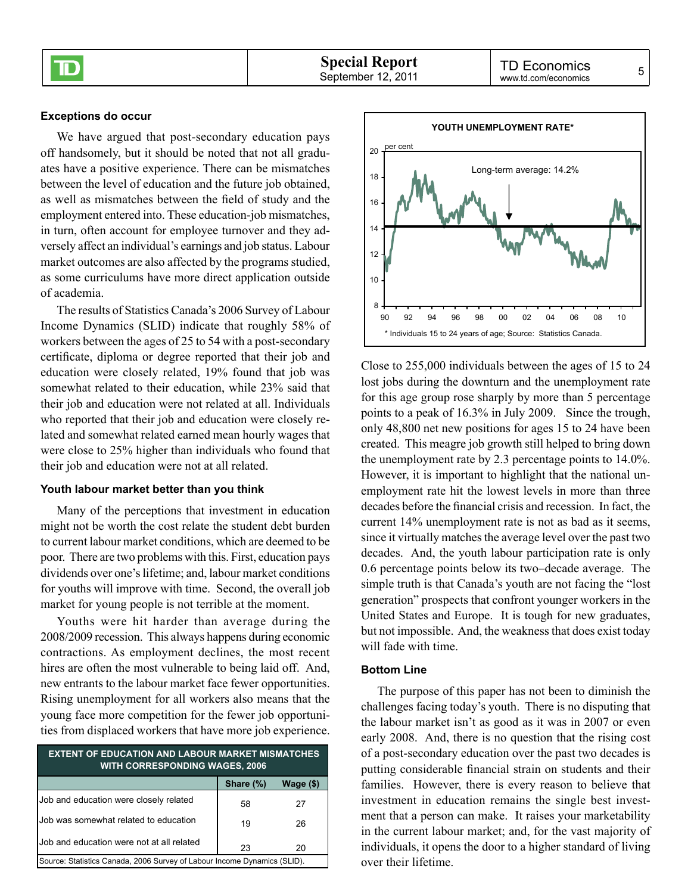#### **Exceptions do occur**

We have argued that post-secondary education pays off handsomely, but it should be noted that not all graduates have a positive experience. There can be mismatches between the level of education and the future job obtained, as well as mismatches between the field of study and the employment entered into. These education-job mismatches, in turn, often account for employee turnover and they adversely affect an individual's earnings and job status. Labour market outcomes are also affected by the programs studied, as some curriculums have more direct application outside of academia.

The results of Statistics Canada's 2006 Survey of Labour Income Dynamics (SLID) indicate that roughly 58% of workers between the ages of 25 to 54 with a post-secondary certificate, diploma or degree reported that their job and education were closely related, 19% found that job was somewhat related to their education, while 23% said that their job and education were not related at all. Individuals who reported that their job and education were closely related and somewhat related earned mean hourly wages that were close to 25% higher than individuals who found that their job and education were not at all related.

#### **Youth labour market better than you think**

Many of the perceptions that investment in education might not be worth the cost relate the student debt burden to current labour market conditions, which are deemed to be poor. There are two problems with this. First, education pays dividends over one's lifetime; and, labour market conditions for youths will improve with time. Second, the overall job market for young people is not terrible at the moment.

Youths were hit harder than average during the 2008/2009 recession. This always happens during economic contractions. As employment declines, the most recent hires are often the most vulnerable to being laid off. And, new entrants to the labour market face fewer opportunities. Rising unemployment for all workers also means that the young face more competition for the fewer job opportunities from displaced workers that have more job experience.

| <b>EXTENT OF EDUCATION AND LABOUR MARKET MISMATCHES</b><br><b>WITH CORRESPONDING WAGES, 2006</b> |           |             |  |  |
|--------------------------------------------------------------------------------------------------|-----------|-------------|--|--|
|                                                                                                  | Share (%) | Wage $(\$)$ |  |  |
| Job and education were closely related                                                           | 58        | 27          |  |  |
| Job was somewhat related to education                                                            | 19        | 26          |  |  |
| Job and education were not at all related                                                        | 23        | 20          |  |  |
| Source: Statistics Canada, 2006 Survey of Labour Income Dynamics (SLID).                         |           |             |  |  |



Close to 255,000 individuals between the ages of 15 to 24 lost jobs during the downturn and the unemployment rate for this age group rose sharply by more than 5 percentage points to a peak of 16.3% in July 2009. Since the trough, only 48,800 net new positions for ages 15 to 24 have been created. This meagre job growth still helped to bring down the unemployment rate by 2.3 percentage points to 14.0%. However, it is important to highlight that the national unemployment rate hit the lowest levels in more than three decades before the financial crisis and recession. In fact, the current 14% unemployment rate is not as bad as it seems, since it virtually matches the average level over the past two decades. And, the youth labour participation rate is only 0.6 percentage points below its two–decade average. The simple truth is that Canada's youth are not facing the "lost generation" prospects that confront younger workers in the United States and Europe. It is tough for new graduates, but not impossible. And, the weakness that does exist today will fade with time.

## **Bottom Line**

The purpose of this paper has not been to diminish the challenges facing today's youth. There is no disputing that the labour market isn't as good as it was in 2007 or even early 2008. And, there is no question that the rising cost of a post-secondary education over the past two decades is putting considerable financial strain on students and their families. However, there is every reason to believe that investment in education remains the single best investment that a person can make. It raises your marketability in the current labour market; and, for the vast majority of individuals, it opens the door to a higher standard of living over their lifetime.